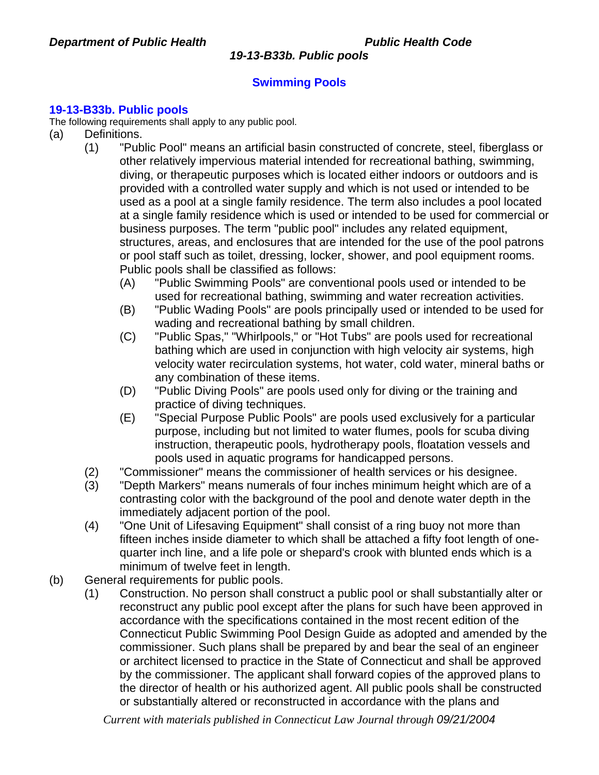# **Swimming Pools**

## **19-13-B33b. Public pools**

The following requirements shall apply to any public pool.

- (a) Definitions.
	- (1) "Public Pool" means an artificial basin constructed of concrete, steel, fiberglass or other relatively impervious material intended for recreational bathing, swimming, diving, or therapeutic purposes which is located either indoors or outdoors and is provided with a controlled water supply and which is not used or intended to be used as a pool at a single family residence. The term also includes a pool located at a single family residence which is used or intended to be used for commercial or business purposes. The term "public pool" includes any related equipment, structures, areas, and enclosures that are intended for the use of the pool patrons or pool staff such as toilet, dressing, locker, shower, and pool equipment rooms. Public pools shall be classified as follows:
		- (A) "Public Swimming Pools" are conventional pools used or intended to be used for recreational bathing, swimming and water recreation activities.
		- (B) "Public Wading Pools" are pools principally used or intended to be used for wading and recreational bathing by small children.
		- (C) "Public Spas," "Whirlpools," or "Hot Tubs" are pools used for recreational bathing which are used in conjunction with high velocity air systems, high velocity water recirculation systems, hot water, cold water, mineral baths or any combination of these items.
		- (D) "Public Diving Pools" are pools used only for diving or the training and practice of diving techniques.
		- (E) "Special Purpose Public Pools" are pools used exclusively for a particular purpose, including but not limited to water flumes, pools for scuba diving instruction, therapeutic pools, hydrotherapy pools, floatation vessels and pools used in aquatic programs for handicapped persons.
	- (2) "Commissioner" means the commissioner of health services or his designee.
	- (3) "Depth Markers" means numerals of four inches minimum height which are of a contrasting color with the background of the pool and denote water depth in the immediately adjacent portion of the pool.
	- (4) "One Unit of Lifesaving Equipment" shall consist of a ring buoy not more than fifteen inches inside diameter to which shall be attached a fifty foot length of onequarter inch line, and a life pole or shepard's crook with blunted ends which is a minimum of twelve feet in length.
- (b) General requirements for public pools.
	- (1) Construction. No person shall construct a public pool or shall substantially alter or reconstruct any public pool except after the plans for such have been approved in accordance with the specifications contained in the most recent edition of the Connecticut Public Swimming Pool Design Guide as adopted and amended by the commissioner. Such plans shall be prepared by and bear the seal of an engineer or architect licensed to practice in the State of Connecticut and shall be approved by the commissioner. The applicant shall forward copies of the approved plans to the director of health or his authorized agent. All public pools shall be constructed or substantially altered or reconstructed in accordance with the plans and

*Current with materials published in Connecticut Law Journal through 09/21/2004*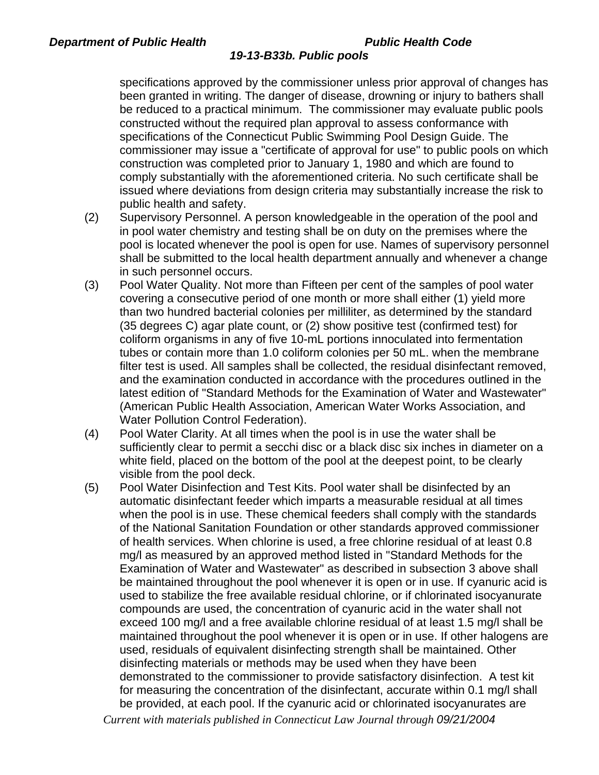specifications approved by the commissioner unless prior approval of changes has been granted in writing. The danger of disease, drowning or injury to bathers shall be reduced to a practical minimum. The commissioner may evaluate public pools constructed without the required plan approval to assess conformance with specifications of the Connecticut Public Swimming Pool Design Guide. The commissioner may issue a "certificate of approval for use" to public pools on which construction was completed prior to January 1, 1980 and which are found to comply substantially with the aforementioned criteria. No such certificate shall be issued where deviations from design criteria may substantially increase the risk to public health and safety.

- (2) Supervisory Personnel. A person knowledgeable in the operation of the pool and in pool water chemistry and testing shall be on duty on the premises where the pool is located whenever the pool is open for use. Names of supervisory personnel shall be submitted to the local health department annually and whenever a change in such personnel occurs.
- (3) Pool Water Quality. Not more than Fifteen per cent of the samples of pool water covering a consecutive period of one month or more shall either (1) yield more than two hundred bacterial colonies per milliliter, as determined by the standard (35 degrees C) agar plate count, or (2) show positive test (confirmed test) for coliform organisms in any of five 10-mL portions innoculated into fermentation tubes or contain more than 1.0 coliform colonies per 50 mL. when the membrane filter test is used. All samples shall be collected, the residual disinfectant removed, and the examination conducted in accordance with the procedures outlined in the latest edition of "Standard Methods for the Examination of Water and Wastewater" (American Public Health Association, American Water Works Association, and Water Pollution Control Federation).
- (4) Pool Water Clarity. At all times when the pool is in use the water shall be sufficiently clear to permit a secchi disc or a black disc six inches in diameter on a white field, placed on the bottom of the pool at the deepest point, to be clearly visible from the pool deck.
- (5) Pool Water Disinfection and Test Kits. Pool water shall be disinfected by an automatic disinfectant feeder which imparts a measurable residual at all times when the pool is in use. These chemical feeders shall comply with the standards of the National Sanitation Foundation or other standards approved commissioner of health services. When chlorine is used, a free chlorine residual of at least 0.8 mg/l as measured by an approved method listed in "Standard Methods for the Examination of Water and Wastewater" as described in subsection 3 above shall be maintained throughout the pool whenever it is open or in use. If cyanuric acid is used to stabilize the free available residual chlorine, or if chlorinated isocyanurate compounds are used, the concentration of cyanuric acid in the water shall not exceed 100 mg/l and a free available chlorine residual of at least 1.5 mg/l shall be maintained throughout the pool whenever it is open or in use. If other halogens are used, residuals of equivalent disinfecting strength shall be maintained. Other disinfecting materials or methods may be used when they have been demonstrated to the commissioner to provide satisfactory disinfection. A test kit for measuring the concentration of the disinfectant, accurate within 0.1 mg/l shall be provided, at each pool. If the cyanuric acid or chlorinated isocyanurates are

*Current with materials published in Connecticut Law Journal through 09/21/2004*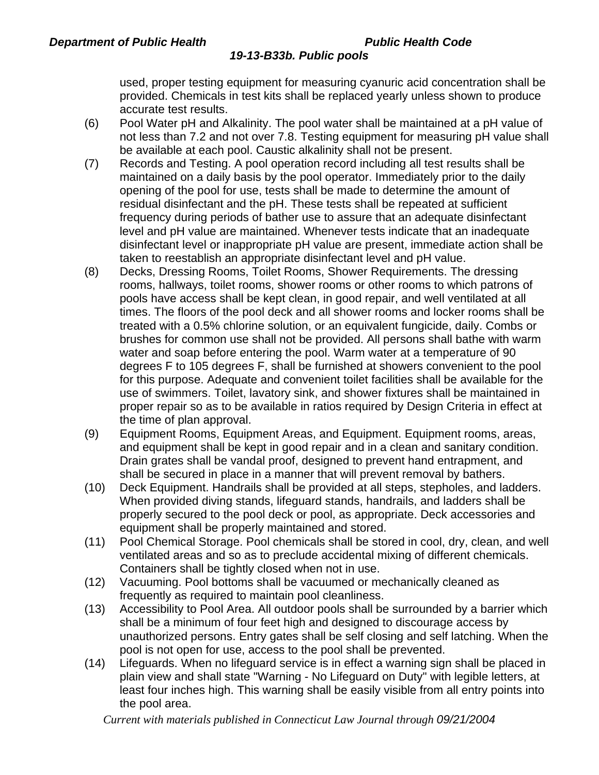used, proper testing equipment for measuring cyanuric acid concentration shall be provided. Chemicals in test kits shall be replaced yearly unless shown to produce accurate test results.

- (6) Pool Water pH and Alkalinity. The pool water shall be maintained at a pH value of not less than 7.2 and not over 7.8. Testing equipment for measuring pH value shall be available at each pool. Caustic alkalinity shall not be present.
- (7) Records and Testing. A pool operation record including all test results shall be maintained on a daily basis by the pool operator. Immediately prior to the daily opening of the pool for use, tests shall be made to determine the amount of residual disinfectant and the pH. These tests shall be repeated at sufficient frequency during periods of bather use to assure that an adequate disinfectant level and pH value are maintained. Whenever tests indicate that an inadequate disinfectant level or inappropriate pH value are present, immediate action shall be taken to reestablish an appropriate disinfectant level and pH value.
- (8) Decks, Dressing Rooms, Toilet Rooms, Shower Requirements. The dressing rooms, hallways, toilet rooms, shower rooms or other rooms to which patrons of pools have access shall be kept clean, in good repair, and well ventilated at all times. The floors of the pool deck and all shower rooms and locker rooms shall be treated with a 0.5% chlorine solution, or an equivalent fungicide, daily. Combs or brushes for common use shall not be provided. All persons shall bathe with warm water and soap before entering the pool. Warm water at a temperature of 90 degrees F to 105 degrees F, shall be furnished at showers convenient to the pool for this purpose. Adequate and convenient toilet facilities shall be available for the use of swimmers. Toilet, lavatory sink, and shower fixtures shall be maintained in proper repair so as to be available in ratios required by Design Criteria in effect at the time of plan approval.
- (9) Equipment Rooms, Equipment Areas, and Equipment. Equipment rooms, areas, and equipment shall be kept in good repair and in a clean and sanitary condition. Drain grates shall be vandal proof, designed to prevent hand entrapment, and shall be secured in place in a manner that will prevent removal by bathers.
- (10) Deck Equipment. Handrails shall be provided at all steps, stepholes, and ladders. When provided diving stands, lifeguard stands, handrails, and ladders shall be properly secured to the pool deck or pool, as appropriate. Deck accessories and equipment shall be properly maintained and stored.
- (11) Pool Chemical Storage. Pool chemicals shall be stored in cool, dry, clean, and well ventilated areas and so as to preclude accidental mixing of different chemicals. Containers shall be tightly closed when not in use.
- (12) Vacuuming. Pool bottoms shall be vacuumed or mechanically cleaned as frequently as required to maintain pool cleanliness.
- (13) Accessibility to Pool Area. All outdoor pools shall be surrounded by a barrier which shall be a minimum of four feet high and designed to discourage access by unauthorized persons. Entry gates shall be self closing and self latching. When the pool is not open for use, access to the pool shall be prevented.
- (14) Lifeguards. When no lifeguard service is in effect a warning sign shall be placed in plain view and shall state "Warning - No Lifeguard on Duty" with legible letters, at least four inches high. This warning shall be easily visible from all entry points into the pool area.

*Current with materials published in Connecticut Law Journal through 09/21/2004*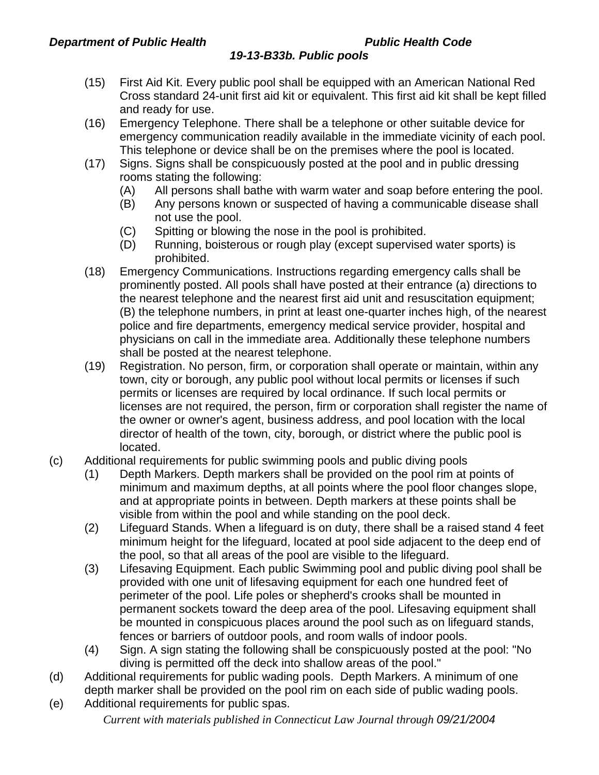- (15) First Aid Kit. Every public pool shall be equipped with an American National Red Cross standard 24-unit first aid kit or equivalent. This first aid kit shall be kept filled and ready for use.
- (16) Emergency Telephone. There shall be a telephone or other suitable device for emergency communication readily available in the immediate vicinity of each pool. This telephone or device shall be on the premises where the pool is located.
- (17) Signs. Signs shall be conspicuously posted at the pool and in public dressing rooms stating the following:
	- (A) All persons shall bathe with warm water and soap before entering the pool.
	- (B) Any persons known or suspected of having a communicable disease shall not use the pool.
	- (C) Spitting or blowing the nose in the pool is prohibited.
	- (D) Running, boisterous or rough play (except supervised water sports) is prohibited.
- (18) Emergency Communications. Instructions regarding emergency calls shall be prominently posted. All pools shall have posted at their entrance (a) directions to the nearest telephone and the nearest first aid unit and resuscitation equipment; (B) the telephone numbers, in print at least one-quarter inches high, of the nearest police and fire departments, emergency medical service provider, hospital and physicians on call in the immediate area. Additionally these telephone numbers shall be posted at the nearest telephone.
- (19) Registration. No person, firm, or corporation shall operate or maintain, within any town, city or borough, any public pool without local permits or licenses if such permits or licenses are required by local ordinance. If such local permits or licenses are not required, the person, firm or corporation shall register the name of the owner or owner's agent, business address, and pool location with the local director of health of the town, city, borough, or district where the public pool is located.
- (c) Additional requirements for public swimming pools and public diving pools
	- (1) Depth Markers. Depth markers shall be provided on the pool rim at points of minimum and maximum depths, at all points where the pool floor changes slope, and at appropriate points in between. Depth markers at these points shall be visible from within the pool and while standing on the pool deck.
	- (2) Lifeguard Stands. When a lifeguard is on duty, there shall be a raised stand 4 feet minimum height for the lifeguard, located at pool side adjacent to the deep end of the pool, so that all areas of the pool are visible to the lifeguard.
	- (3) Lifesaving Equipment. Each public Swimming pool and public diving pool shall be provided with one unit of lifesaving equipment for each one hundred feet of perimeter of the pool. Life poles or shepherd's crooks shall be mounted in permanent sockets toward the deep area of the pool. Lifesaving equipment shall be mounted in conspicuous places around the pool such as on lifeguard stands, fences or barriers of outdoor pools, and room walls of indoor pools.
	- (4) Sign. A sign stating the following shall be conspicuously posted at the pool: "No diving is permitted off the deck into shallow areas of the pool."
- (d) Additional requirements for public wading pools. Depth Markers. A minimum of one depth marker shall be provided on the pool rim on each side of public wading pools.
- *Current with materials published in Connecticut Law Journal through 09/21/2004* (e) Additional requirements for public spas.